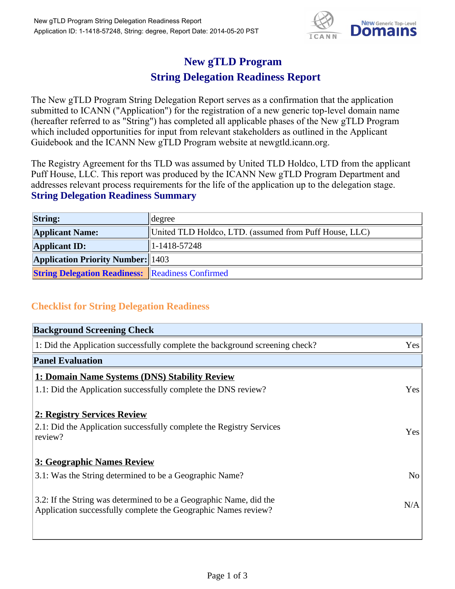

## **New gTLD Program**

## **String Delegation Readiness Report**

The New gTLD Program String Delegation Report serves as a confirmation that the application submitted to ICANN ("Application") for the registration of a new generic top-level domain name (hereafter referred to as "String") has completed all applicable phases of the New gTLD Program which included opportunities for input from relevant stakeholders as outlined in the Applicant Guidebook and the ICANN New gTLD Program website at newgtld.icann.org.

The Registry Agreement for ths TLD was assumed by United TLD Holdco, LTD from the applicant Puff House, LLC. This report was produced by the ICANN New gTLD Program Department and addresses relevant process requirements for the life of the application up to the delegation stage. **String Delegation Readiness Summary**

| <b>String:</b>                                          | degree                                                 |
|---------------------------------------------------------|--------------------------------------------------------|
| <b>Applicant Name:</b>                                  | United TLD Holdco, LTD. (assumed from Puff House, LLC) |
| <b>Applicant ID:</b>                                    | $1 - 1418 - 57248$                                     |
| <b>Application Priority Number:</b> 1403                |                                                        |
| <b>String Delegation Readiness:</b> Readiness Confirmed |                                                        |

## **Checklist for String Delegation Readiness**

| <b>Background Screening Check</b>                                                                                                    |            |
|--------------------------------------------------------------------------------------------------------------------------------------|------------|
| 1: Did the Application successfully complete the background screening check?                                                         | Yes        |
| <b>Panel Evaluation</b>                                                                                                              |            |
| 1: Domain Name Systems (DNS) Stability Review                                                                                        |            |
| 1.1: Did the Application successfully complete the DNS review?                                                                       | Yes        |
| 2: Registry Services Review<br>2.1: Did the Application successfully complete the Registry Services<br>review?                       | <b>Yes</b> |
| 3: Geographic Names Review                                                                                                           |            |
| 3.1: Was the String determined to be a Geographic Name?                                                                              | No         |
| 3.2: If the String was determined to be a Geographic Name, did the<br>Application successfully complete the Geographic Names review? | N/A        |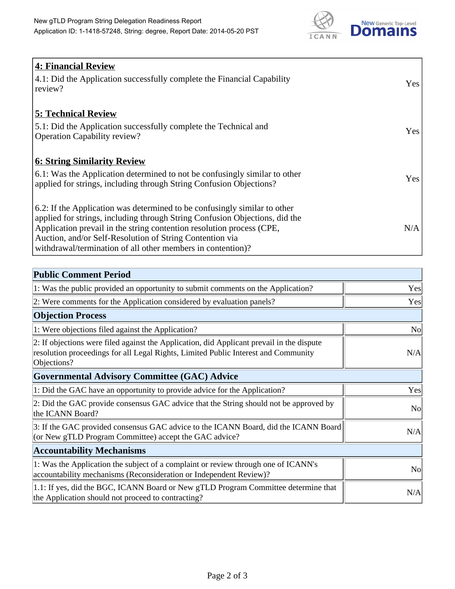

| 4: Financial Review                                                                |            |
|------------------------------------------------------------------------------------|------------|
| $\vert$ 4.1: Did the Application successfully complete the Financial Capability    | Yes        |
| review?                                                                            |            |
| <b>5: Technical Review</b>                                                         |            |
| 5.1: Did the Application successfully complete the Technical and                   | <b>Yes</b> |
| <b>Operation Capability review?</b>                                                |            |
|                                                                                    |            |
| <b>6: String Similarity Review</b>                                                 |            |
| $\vert$ 6.1: Was the Application determined to not be confusingly similar to other | Yes        |
| applied for strings, including through String Confusion Objections?                |            |
| 6.2: If the Application was determined to be confusingly similar to other          |            |
| applied for strings, including through String Confusion Objections, did the        |            |
| Application prevail in the string contention resolution process (CPE,              | N/A        |
| Auction, and/or Self-Resolution of String Contention via                           |            |
| withdrawal/termination of all other members in contention)?                        |            |

| <b>Public Comment Period</b>                                                                                                                                                                   |                |
|------------------------------------------------------------------------------------------------------------------------------------------------------------------------------------------------|----------------|
| 1: Was the public provided an opportunity to submit comments on the Application?                                                                                                               | Yes            |
| 2: Were comments for the Application considered by evaluation panels?                                                                                                                          | Yes            |
| <b>Objection Process</b>                                                                                                                                                                       |                |
| 1: Were objections filed against the Application?                                                                                                                                              | N <sub>o</sub> |
| 2: If objections were filed against the Application, did Applicant prevail in the dispute<br>resolution proceedings for all Legal Rights, Limited Public Interest and Community<br>Objections? | N/A            |
| Governmental Advisory Committee (GAC) Advice                                                                                                                                                   |                |
| 1: Did the GAC have an opportunity to provide advice for the Application?                                                                                                                      | Yes            |
| 2: Did the GAC provide consensus GAC advice that the String should not be approved by<br>the ICANN Board?                                                                                      | <b>No</b>      |
| 3: If the GAC provided consensus GAC advice to the ICANN Board, did the ICANN Board<br>(or New gTLD Program Committee) accept the GAC advice?                                                  | N/A            |
| <b>Accountability Mechanisms</b>                                                                                                                                                               |                |
| 1: Was the Application the subject of a complaint or review through one of ICANN's<br>accountability mechanisms (Reconsideration or Independent Review)?                                       | <b>No</b>      |
| 1.1: If yes, did the BGC, ICANN Board or New gTLD Program Committee determine that<br>the Application should not proceed to contracting?                                                       | N/A            |